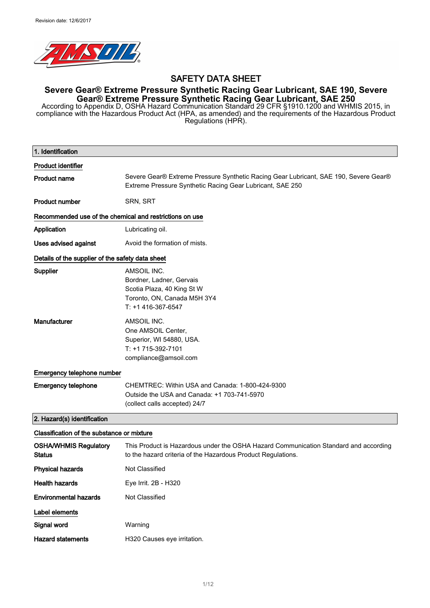

# SAFETY DATA SHEET

# **Severe Gear® Extreme Pressure Synthetic Racing Gear Lubricant, SAE 190**, **Severe Gear® Extreme Pressure Synthetic Racing Gear Lubricant**, **SAE 250**

According to Appendix D, OSHA Hazard Communication Standard 29 CFR §1910.1200 and WHMIS 2015, in compliance with the Hazardous Product Act (HPA, as amended) and the requirements of the Hazardous Product Regulations (HPR).

| 1. Identification                                       |                                                                                                                                                      |  |
|---------------------------------------------------------|------------------------------------------------------------------------------------------------------------------------------------------------------|--|
| <b>Product identifier</b>                               |                                                                                                                                                      |  |
| <b>Product name</b>                                     | Severe Gear® Extreme Pressure Synthetic Racing Gear Lubricant, SAE 190, Severe Gear®<br>Extreme Pressure Synthetic Racing Gear Lubricant, SAE 250    |  |
| <b>Product number</b>                                   | SRN, SRT                                                                                                                                             |  |
| Recommended use of the chemical and restrictions on use |                                                                                                                                                      |  |
| Application                                             | Lubricating oil.                                                                                                                                     |  |
| <b>Uses advised against</b>                             | Avoid the formation of mists.                                                                                                                        |  |
| Details of the supplier of the safety data sheet        |                                                                                                                                                      |  |
| Supplier                                                | AMSOIL INC.<br>Bordner, Ladner, Gervais<br>Scotia Plaza, 40 King St W<br>Toronto, ON, Canada M5H 3Y4<br>T: +1 416-367-6547                           |  |
| Manufacturer                                            | AMSOIL INC.<br>One AMSOIL Center,<br>Superior, WI 54880, USA.<br>T: +1 715-392-7101<br>compliance@amsoil.com                                         |  |
| Emergency telephone number                              |                                                                                                                                                      |  |
| <b>Emergency telephone</b>                              | CHEMTREC: Within USA and Canada: 1-800-424-9300<br>Outside the USA and Canada: +1 703-741-5970<br>(collect calls accepted) 24/7                      |  |
| 2. Hazard(s) identification                             |                                                                                                                                                      |  |
| Classification of the substance or mixture              |                                                                                                                                                      |  |
| <b>OSHA/WHMIS Regulatory</b><br><b>Status</b>           | This Product is Hazardous under the OSHA Hazard Communication Standard and according<br>to the hazard criteria of the Hazardous Product Regulations. |  |
| <b>Physical hazards</b>                                 | Not Classified                                                                                                                                       |  |
| <b>Health hazards</b>                                   | Eye Irrit. 2B - H320                                                                                                                                 |  |
| <b>Environmental hazards</b>                            | Not Classified                                                                                                                                       |  |
| Label elements                                          |                                                                                                                                                      |  |
| Signal word                                             | Warning                                                                                                                                              |  |
| <b>Hazard statements</b>                                | H320 Causes eye irritation.                                                                                                                          |  |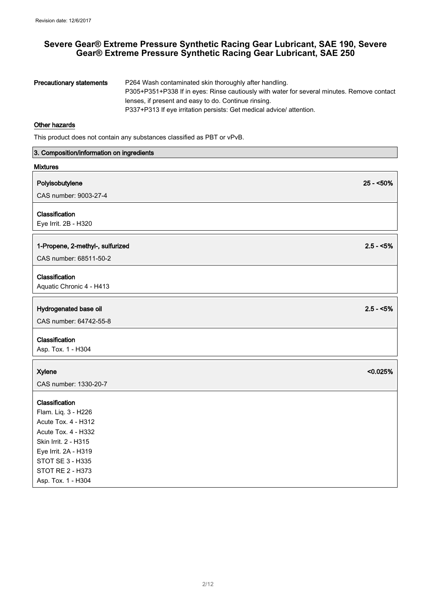| <b>Precautionary statements</b> | P264 Wash contaminated skin thoroughly after handling.                                     |
|---------------------------------|--------------------------------------------------------------------------------------------|
|                                 | P305+P351+P338 If in eyes: Rinse cautiously with water for several minutes. Remove contact |
|                                 | lenses, if present and easy to do. Continue rinsing.                                       |
|                                 | P337+P313 If eye irritation persists: Get medical advice/attention.                        |

#### Other hazards

This product does not contain any substances classified as PBT or vPvB.

| 3. Composition/information on ingredients |             |
|-------------------------------------------|-------------|
| <b>Mixtures</b>                           |             |
| Polyisobutylene                           | $25 - 50\%$ |
| CAS number: 9003-27-4                     |             |
| Classification                            |             |
| Eye Irrit. 2B - H320                      |             |
| 1-Propene, 2-methyl-, sulfurized          | $2.5 - 5\%$ |
| CAS number: 68511-50-2                    |             |
| Classification                            |             |
| Aquatic Chronic 4 - H413                  |             |
|                                           |             |
| Hydrogenated base oil                     | $2.5 - 5\%$ |
| CAS number: 64742-55-8                    |             |
| Classification                            |             |
| Asp. Tox. 1 - H304                        |             |
| <b>Xylene</b>                             | < 0.025%    |
| CAS number: 1330-20-7                     |             |
|                                           |             |
| Classification                            |             |
| Flam. Liq. 3 - H226                       |             |
| Acute Tox. 4 - H312                       |             |
| <b>Acute Tox. 4 - H332</b>                |             |
| Skin Irrit. 2 - H315                      |             |
| Eye Irrit. 2A - H319<br>STOT SE 3 - H335  |             |
| <b>STOT RE 2 - H373</b>                   |             |
| Asp. Tox. 1 - H304                        |             |
|                                           |             |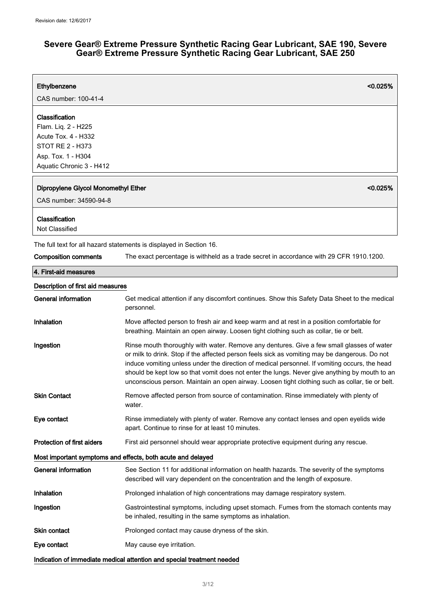| Ethylbenzene                                                                                                                              | <0.025%                                                                                                                                                                                                                                                                                                                                                                                                                                                                                         |
|-------------------------------------------------------------------------------------------------------------------------------------------|-------------------------------------------------------------------------------------------------------------------------------------------------------------------------------------------------------------------------------------------------------------------------------------------------------------------------------------------------------------------------------------------------------------------------------------------------------------------------------------------------|
| CAS number: 100-41-4                                                                                                                      |                                                                                                                                                                                                                                                                                                                                                                                                                                                                                                 |
| Classification<br>Flam. Liq. 2 - H225<br><b>Acute Tox. 4 - H332</b><br>STOT RE 2 - H373<br>Asp. Tox. 1 - H304<br>Aquatic Chronic 3 - H412 |                                                                                                                                                                                                                                                                                                                                                                                                                                                                                                 |
| Dipropylene Glycol Monomethyl Ether<br>CAS number: 34590-94-8                                                                             | < 0.025%                                                                                                                                                                                                                                                                                                                                                                                                                                                                                        |
| Classification<br>Not Classified                                                                                                          |                                                                                                                                                                                                                                                                                                                                                                                                                                                                                                 |
|                                                                                                                                           | The full text for all hazard statements is displayed in Section 16.                                                                                                                                                                                                                                                                                                                                                                                                                             |
| <b>Composition comments</b>                                                                                                               | The exact percentage is withheld as a trade secret in accordance with 29 CFR 1910.1200.                                                                                                                                                                                                                                                                                                                                                                                                         |
| 4. First-aid measures                                                                                                                     |                                                                                                                                                                                                                                                                                                                                                                                                                                                                                                 |
| Description of first aid measures                                                                                                         |                                                                                                                                                                                                                                                                                                                                                                                                                                                                                                 |
| <b>General information</b>                                                                                                                | Get medical attention if any discomfort continues. Show this Safety Data Sheet to the medical<br>personnel.                                                                                                                                                                                                                                                                                                                                                                                     |
| Inhalation                                                                                                                                | Move affected person to fresh air and keep warm and at rest in a position comfortable for<br>breathing. Maintain an open airway. Loosen tight clothing such as collar, tie or belt.                                                                                                                                                                                                                                                                                                             |
| Ingestion                                                                                                                                 | Rinse mouth thoroughly with water. Remove any dentures. Give a few small glasses of water<br>or milk to drink. Stop if the affected person feels sick as vomiting may be dangerous. Do not<br>induce vomiting unless under the direction of medical personnel. If vomiting occurs, the head<br>should be kept low so that vomit does not enter the lungs. Never give anything by mouth to an<br>unconscious person. Maintain an open airway. Loosen tight clothing such as collar, tie or belt. |
| <b>Skin Contact</b>                                                                                                                       | Remove affected person from source of contamination. Rinse immediately with plenty of<br>water.                                                                                                                                                                                                                                                                                                                                                                                                 |
| Eye contact                                                                                                                               | Rinse immediately with plenty of water. Remove any contact lenses and open eyelids wide<br>apart. Continue to rinse for at least 10 minutes.                                                                                                                                                                                                                                                                                                                                                    |
| <b>Protection of first aiders</b>                                                                                                         | First aid personnel should wear appropriate protective equipment during any rescue.                                                                                                                                                                                                                                                                                                                                                                                                             |
|                                                                                                                                           | Most important symptoms and effects, both acute and delayed                                                                                                                                                                                                                                                                                                                                                                                                                                     |
| <b>General information</b>                                                                                                                | See Section 11 for additional information on health hazards. The severity of the symptoms<br>described will vary dependent on the concentration and the length of exposure.                                                                                                                                                                                                                                                                                                                     |
| Inhalation                                                                                                                                | Prolonged inhalation of high concentrations may damage respiratory system.                                                                                                                                                                                                                                                                                                                                                                                                                      |
| Ingestion                                                                                                                                 | Gastrointestinal symptoms, including upset stomach. Fumes from the stomach contents may<br>be inhaled, resulting in the same symptoms as inhalation.                                                                                                                                                                                                                                                                                                                                            |
| <b>Skin contact</b>                                                                                                                       | Prolonged contact may cause dryness of the skin.                                                                                                                                                                                                                                                                                                                                                                                                                                                |
| Eye contact                                                                                                                               | May cause eye irritation.                                                                                                                                                                                                                                                                                                                                                                                                                                                                       |
|                                                                                                                                           | Indication of immediate medical attention and special treatment needed                                                                                                                                                                                                                                                                                                                                                                                                                          |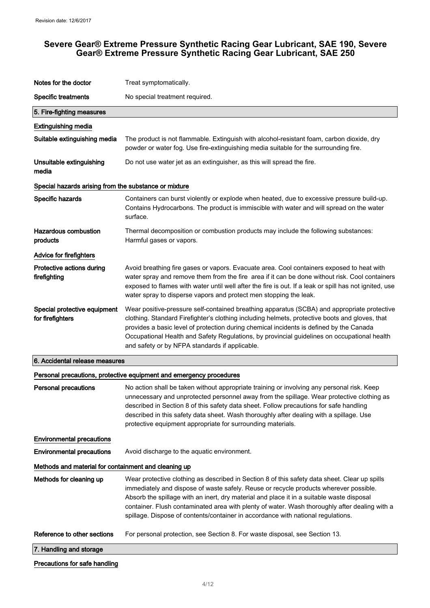| Notes for the doctor                                  | Treat symptomatically.                                                                                                                                                                                                                                                                                                                                                                                                                                                   |  |
|-------------------------------------------------------|--------------------------------------------------------------------------------------------------------------------------------------------------------------------------------------------------------------------------------------------------------------------------------------------------------------------------------------------------------------------------------------------------------------------------------------------------------------------------|--|
| <b>Specific treatments</b>                            | No special treatment required.                                                                                                                                                                                                                                                                                                                                                                                                                                           |  |
| 5. Fire-fighting measures                             |                                                                                                                                                                                                                                                                                                                                                                                                                                                                          |  |
| <b>Extinguishing media</b>                            |                                                                                                                                                                                                                                                                                                                                                                                                                                                                          |  |
| Suitable extinguishing media                          | The product is not flammable. Extinguish with alcohol-resistant foam, carbon dioxide, dry<br>powder or water fog. Use fire-extinguishing media suitable for the surrounding fire.                                                                                                                                                                                                                                                                                        |  |
| Unsuitable extinguishing<br>media                     | Do not use water jet as an extinguisher, as this will spread the fire.                                                                                                                                                                                                                                                                                                                                                                                                   |  |
| Special hazards arising from the substance or mixture |                                                                                                                                                                                                                                                                                                                                                                                                                                                                          |  |
| Specific hazards                                      | Containers can burst violently or explode when heated, due to excessive pressure build-up.<br>Contains Hydrocarbons. The product is immiscible with water and will spread on the water<br>surface.                                                                                                                                                                                                                                                                       |  |
| <b>Hazardous combustion</b><br>products               | Thermal decomposition or combustion products may include the following substances:<br>Harmful gases or vapors.                                                                                                                                                                                                                                                                                                                                                           |  |
| <b>Advice for firefighters</b>                        |                                                                                                                                                                                                                                                                                                                                                                                                                                                                          |  |
| Protective actions during<br>firefighting             | Avoid breathing fire gases or vapors. Evacuate area. Cool containers exposed to heat with<br>water spray and remove them from the fire area if it can be done without risk. Cool containers<br>exposed to flames with water until well after the fire is out. If a leak or spill has not ignited, use<br>water spray to disperse vapors and protect men stopping the leak.                                                                                               |  |
| Special protective equipment<br>for firefighters      | Wear positive-pressure self-contained breathing apparatus (SCBA) and appropriate protective<br>clothing. Standard Firefighter's clothing including helmets, protective boots and gloves, that<br>provides a basic level of protection during chemical incidents is defined by the Canada<br>Occupational Health and Safety Regulations, by provincial guidelines on occupational health<br>and safety or by NFPA standards if applicable.                                |  |
| 6. Accidental release measures                        |                                                                                                                                                                                                                                                                                                                                                                                                                                                                          |  |
|                                                       | Personal precautions, protective equipment and emergency procedures                                                                                                                                                                                                                                                                                                                                                                                                      |  |
| <b>Personal precautions</b>                           | No action shall be taken without appropriate training or involving any personal risk. Keep<br>unnecessary and unprotected personnel away from the spillage. Wear protective clothing as<br>described in Section 8 of this safety data sheet. Follow precautions for safe handling<br>described in this safety data sheet. Wash thoroughly after dealing with a spillage. Use<br>protective equipment appropriate for surrounding materials.                              |  |
| <b>Environmental precautions</b>                      |                                                                                                                                                                                                                                                                                                                                                                                                                                                                          |  |
| <b>Environmental precautions</b>                      | Avoid discharge to the aquatic environment.                                                                                                                                                                                                                                                                                                                                                                                                                              |  |
| Methods and material for containment and cleaning up  |                                                                                                                                                                                                                                                                                                                                                                                                                                                                          |  |
| Methods for cleaning up                               | Wear protective clothing as described in Section 8 of this safety data sheet. Clear up spills<br>immediately and dispose of waste safely. Reuse or recycle products wherever possible.<br>Absorb the spillage with an inert, dry material and place it in a suitable waste disposal<br>container. Flush contaminated area with plenty of water. Wash thoroughly after dealing with a<br>spillage. Dispose of contents/container in accordance with national regulations. |  |
| Reference to other sections                           | For personal protection, see Section 8. For waste disposal, see Section 13.                                                                                                                                                                                                                                                                                                                                                                                              |  |
| 7. Handling and storage                               |                                                                                                                                                                                                                                                                                                                                                                                                                                                                          |  |
|                                                       |                                                                                                                                                                                                                                                                                                                                                                                                                                                                          |  |

#### Precautions for safe handling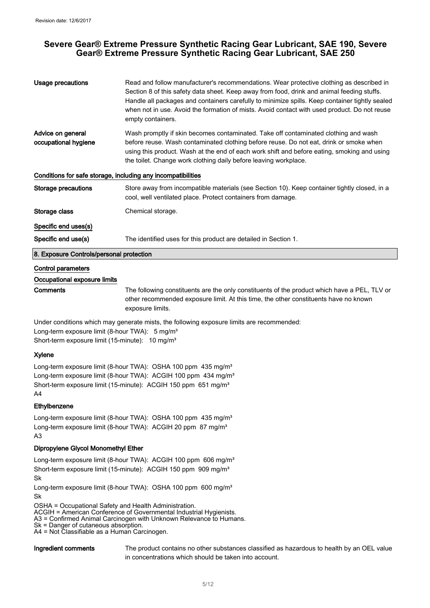| <b>Usage precautions</b>                                     | Read and follow manufacturer's recommendations. Wear protective clothing as described in<br>Section 8 of this safety data sheet. Keep away from food, drink and animal feeding stuffs.<br>Handle all packages and containers carefully to minimize spills. Keep container tightly sealed<br>when not in use. Avoid the formation of mists. Avoid contact with used product. Do not reuse<br>empty containers. |  |
|--------------------------------------------------------------|---------------------------------------------------------------------------------------------------------------------------------------------------------------------------------------------------------------------------------------------------------------------------------------------------------------------------------------------------------------------------------------------------------------|--|
| Advice on general<br>occupational hygiene                    | Wash promptly if skin becomes contaminated. Take off contaminated clothing and wash<br>before reuse. Wash contaminated clothing before reuse. Do not eat, drink or smoke when<br>using this product. Wash at the end of each work shift and before eating, smoking and using<br>the toilet. Change work clothing daily before leaving workplace.                                                              |  |
| Conditions for safe storage, including any incompatibilities |                                                                                                                                                                                                                                                                                                                                                                                                               |  |
| <b>Storage precautions</b>                                   | Store away from incompatible materials (see Section 10). Keep container tightly closed, in a<br>cool, well ventilated place. Protect containers from damage.                                                                                                                                                                                                                                                  |  |
| Storage class                                                | Chemical storage.                                                                                                                                                                                                                                                                                                                                                                                             |  |
| Specific end uses(s)                                         |                                                                                                                                                                                                                                                                                                                                                                                                               |  |
| Specific end use(s)                                          | The identified uses for this product are detailed in Section 1.                                                                                                                                                                                                                                                                                                                                               |  |
| 8. Exposure Controls/personal protection                     |                                                                                                                                                                                                                                                                                                                                                                                                               |  |
| Control parameters                                           |                                                                                                                                                                                                                                                                                                                                                                                                               |  |
| Occupational exposure limits                                 |                                                                                                                                                                                                                                                                                                                                                                                                               |  |
|                                                              |                                                                                                                                                                                                                                                                                                                                                                                                               |  |

Comments The following constituents are the only constituents of the product which have a PEL, TLV or other recommended exposure limit. At this time, the other constituents have no known exposure limits.

Under conditions which may generate mists, the following exposure limits are recommended: Long-term exposure limit (8-hour TWA): 5 mg/m<sup>3</sup> Short-term exposure limit (15-minute): 10 mg/m<sup>3</sup>

#### Xylene

Long-term exposure limit (8-hour TWA): OSHA 100 ppm 435 mg/m<sup>3</sup> Long-term exposure limit (8-hour TWA): ACGIH 100 ppm 434 mg/m<sup>3</sup> Short-term exposure limit (15-minute): ACGIH 150 ppm 651 mg/m<sup>3</sup> A4

#### Ethylbenzene

Long-term exposure limit (8-hour TWA): OSHA 100 ppm 435 mg/m<sup>3</sup> Long-term exposure limit (8-hour TWA): ACGIH 20 ppm 87 mg/m<sup>3</sup> A3

#### Dipropylene Glycol Monomethyl Ether

Long-term exposure limit (8-hour TWA): ACGIH 100 ppm 606 mg/m<sup>3</sup> Short-term exposure limit (15-minute): ACGIH 150 ppm 909 mg/m<sup>3</sup> Sk

Long-term exposure limit (8-hour TWA): OSHA 100 ppm 600 mg/m<sup>3</sup> Sk

OSHA = Occupational Safety and Health Administration.

ACGIH = American Conference of Governmental Industrial Hygienists.

- A3 = Confirmed Animal Carcinogen with Unknown Relevance to Humans.
- Sk = Danger of cutaneous absorption.
- A4 = Not Classifiable as a Human Carcinogen.

Ingredient comments The product contains no other substances classified as hazardous to health by an OEL value in concentrations which should be taken into account.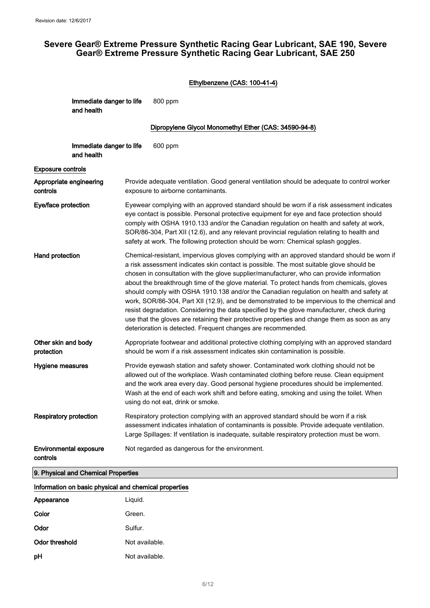# Ethylbenzene (CAS: 100-41-4)

| Immediate danger to life | 800 ppm |
|--------------------------|---------|
| and health               |         |

## Dipropylene Glycol Monomethyl Ether (CAS: 34590-94-8)

| Immediate danger to life<br>and health                | 600 ppm                                                                                                                                                                                                                                                                                                                                                                                                                                                                                                                                                                                                                                                                                                                                                                                                                                  |
|-------------------------------------------------------|------------------------------------------------------------------------------------------------------------------------------------------------------------------------------------------------------------------------------------------------------------------------------------------------------------------------------------------------------------------------------------------------------------------------------------------------------------------------------------------------------------------------------------------------------------------------------------------------------------------------------------------------------------------------------------------------------------------------------------------------------------------------------------------------------------------------------------------|
| <b>Exposure controls</b>                              |                                                                                                                                                                                                                                                                                                                                                                                                                                                                                                                                                                                                                                                                                                                                                                                                                                          |
| Appropriate engineering<br>controls                   | Provide adequate ventilation. Good general ventilation should be adequate to control worker<br>exposure to airborne contaminants.                                                                                                                                                                                                                                                                                                                                                                                                                                                                                                                                                                                                                                                                                                        |
| Eye/face protection                                   | Eyewear complying with an approved standard should be worn if a risk assessment indicates<br>eye contact is possible. Personal protective equipment for eye and face protection should<br>comply with OSHA 1910.133 and/or the Canadian regulation on health and safety at work,<br>SOR/86-304, Part XII (12.6), and any relevant provincial regulation relating to health and<br>safety at work. The following protection should be worn: Chemical splash goggles.                                                                                                                                                                                                                                                                                                                                                                      |
| Hand protection                                       | Chemical-resistant, impervious gloves complying with an approved standard should be worn if<br>a risk assessment indicates skin contact is possible. The most suitable glove should be<br>chosen in consultation with the glove supplier/manufacturer, who can provide information<br>about the breakthrough time of the glove material. To protect hands from chemicals, gloves<br>should comply with OSHA 1910.138 and/or the Canadian regulation on health and safety at<br>work, SOR/86-304, Part XII (12.9), and be demonstrated to be impervious to the chemical and<br>resist degradation. Considering the data specified by the glove manufacturer, check during<br>use that the gloves are retaining their protective properties and change them as soon as any<br>deterioration is detected. Frequent changes are recommended. |
| Other skin and body<br>protection                     | Appropriate footwear and additional protective clothing complying with an approved standard<br>should be worn if a risk assessment indicates skin contamination is possible.                                                                                                                                                                                                                                                                                                                                                                                                                                                                                                                                                                                                                                                             |
| Hygiene measures                                      | Provide eyewash station and safety shower. Contaminated work clothing should not be<br>allowed out of the workplace. Wash contaminated clothing before reuse. Clean equipment<br>and the work area every day. Good personal hygiene procedures should be implemented.<br>Wash at the end of each work shift and before eating, smoking and using the toilet. When<br>using do not eat, drink or smoke.                                                                                                                                                                                                                                                                                                                                                                                                                                   |
| <b>Respiratory protection</b>                         | Respiratory protection complying with an approved standard should be worn if a risk<br>assessment indicates inhalation of contaminants is possible. Provide adequate ventilation.<br>Large Spillages: If ventilation is inadequate, suitable respiratory protection must be worn.                                                                                                                                                                                                                                                                                                                                                                                                                                                                                                                                                        |
| <b>Environmental exposure</b><br>controls             | Not regarded as dangerous for the environment.                                                                                                                                                                                                                                                                                                                                                                                                                                                                                                                                                                                                                                                                                                                                                                                           |
| 9. Physical and Chemical Properties                   |                                                                                                                                                                                                                                                                                                                                                                                                                                                                                                                                                                                                                                                                                                                                                                                                                                          |
| Information on basic physical and chemical properties |                                                                                                                                                                                                                                                                                                                                                                                                                                                                                                                                                                                                                                                                                                                                                                                                                                          |

| Appearance     | Liquid.        |
|----------------|----------------|
| Color          | Green.         |
| Odor           | Sulfur.        |
| Odor threshold | Not available. |
| pH             | Not available. |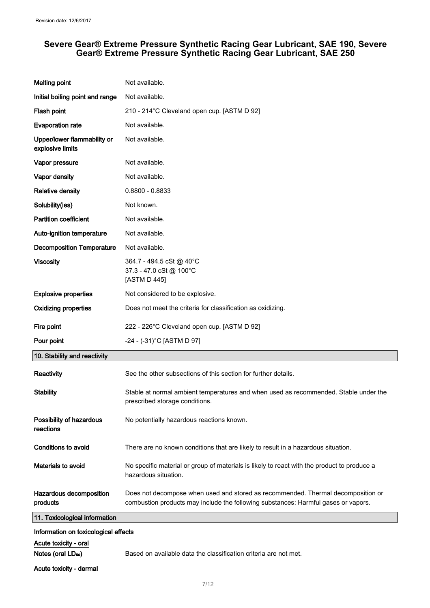| <b>Melting point</b>                                    | Not available.                                                                                                                                                         |
|---------------------------------------------------------|------------------------------------------------------------------------------------------------------------------------------------------------------------------------|
| Initial boiling point and range                         | Not available.                                                                                                                                                         |
| Flash point                                             | 210 - 214°C Cleveland open cup. [ASTM D 92]                                                                                                                            |
| <b>Evaporation rate</b>                                 | Not available.                                                                                                                                                         |
| Upper/lower flammability or<br>explosive limits         | Not available.                                                                                                                                                         |
| Vapor pressure                                          | Not available.                                                                                                                                                         |
| Vapor density                                           | Not available.                                                                                                                                                         |
| <b>Relative density</b>                                 | $0.8800 - 0.8833$                                                                                                                                                      |
| Solubility(ies)                                         | Not known.                                                                                                                                                             |
| <b>Partition coefficient</b>                            | Not available.                                                                                                                                                         |
| Auto-ignition temperature                               | Not available.                                                                                                                                                         |
| <b>Decomposition Temperature</b>                        | Not available.                                                                                                                                                         |
| <b>Viscosity</b>                                        | 364.7 - 494.5 cSt @ 40°C<br>37.3 - 47.0 cSt @ 100°C<br>[ASTM D 445]                                                                                                    |
| <b>Explosive properties</b>                             | Not considered to be explosive.                                                                                                                                        |
| <b>Oxidizing properties</b>                             | Does not meet the criteria for classification as oxidizing.                                                                                                            |
| Fire point                                              | 222 - 226°C Cleveland open cup. [ASTM D 92]                                                                                                                            |
| Pour point                                              | -24 - (-31)°C [ASTM D 97]                                                                                                                                              |
| 10. Stability and reactivity                            |                                                                                                                                                                        |
| Reactivity                                              | See the other subsections of this section for further details.                                                                                                         |
| <b>Stability</b>                                        | Stable at normal ambient temperatures and when used as recommended. Stable under the<br>prescribed storage conditions.                                                 |
| Possibility of hazardous<br>reactions                   | No potentially hazardous reactions known.                                                                                                                              |
| <b>Conditions to avoid</b>                              | There are no known conditions that are likely to result in a hazardous situation.                                                                                      |
| Materials to avoid                                      | No specific material or group of materials is likely to react with the product to produce a<br>hazardous situation.                                                    |
| Hazardous decomposition<br>products                     | Does not decompose when used and stored as recommended. Thermal decomposition or<br>combustion products may include the following substances: Harmful gases or vapors. |
| 11. Toxicological information                           |                                                                                                                                                                        |
| Information on toxicological effects                    |                                                                                                                                                                        |
| Acute toxicity - oral<br>Notes (oral LD <sub>50</sub> ) | Based on available data the classification criteria are not met.                                                                                                       |
| Acute toxicity - dermal                                 |                                                                                                                                                                        |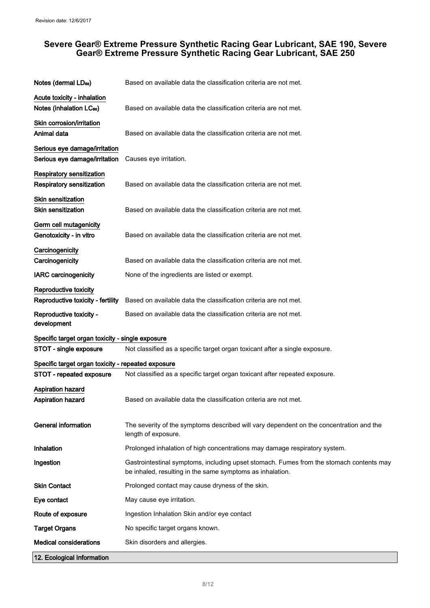| Notes (dermal LD <sub>50</sub> )                   | Based on available data the classification criteria are not met.                                                                                     |
|----------------------------------------------------|------------------------------------------------------------------------------------------------------------------------------------------------------|
| Acute toxicity - inhalation                        |                                                                                                                                                      |
| Notes (inhalation LC <sub>50</sub> )               | Based on available data the classification criteria are not met.                                                                                     |
| Skin corrosion/irritation                          |                                                                                                                                                      |
| Animal data                                        | Based on available data the classification criteria are not met.                                                                                     |
| Serious eye damage/irritation                      |                                                                                                                                                      |
| Serious eye damage/irritation                      | Causes eye irritation.                                                                                                                               |
| <b>Respiratory sensitization</b>                   |                                                                                                                                                      |
| <b>Respiratory sensitization</b>                   | Based on available data the classification criteria are not met.                                                                                     |
| <b>Skin sensitization</b>                          |                                                                                                                                                      |
| <b>Skin sensitization</b>                          | Based on available data the classification criteria are not met.                                                                                     |
| Germ cell mutagenicity                             |                                                                                                                                                      |
| Genotoxicity - in vitro                            | Based on available data the classification criteria are not met.                                                                                     |
| Carcinogenicity                                    |                                                                                                                                                      |
| Carcinogenicity                                    | Based on available data the classification criteria are not met.                                                                                     |
| <b>IARC</b> carcinogenicity                        | None of the ingredients are listed or exempt.                                                                                                        |
| Reproductive toxicity                              |                                                                                                                                                      |
| Reproductive toxicity - fertility                  | Based on available data the classification criteria are not met.                                                                                     |
| Reproductive toxicity -<br>development             | Based on available data the classification criteria are not met.                                                                                     |
| Specific target organ toxicity - single exposure   |                                                                                                                                                      |
| STOT - single exposure                             | Not classified as a specific target organ toxicant after a single exposure.                                                                          |
| Specific target organ toxicity - repeated exposure |                                                                                                                                                      |
| STOT - repeated exposure                           | Not classified as a specific target organ toxicant after repeated exposure.                                                                          |
| <b>Aspiration hazard</b>                           |                                                                                                                                                      |
| <b>Aspiration hazard</b>                           | Based on available data the classification criteria are not met.                                                                                     |
| <b>General information</b>                         | The severity of the symptoms described will vary dependent on the concentration and the<br>length of exposure.                                       |
| Inhalation                                         | Prolonged inhalation of high concentrations may damage respiratory system.                                                                           |
| Ingestion                                          | Gastrointestinal symptoms, including upset stomach. Fumes from the stomach contents may<br>be inhaled, resulting in the same symptoms as inhalation. |
| <b>Skin Contact</b>                                | Prolonged contact may cause dryness of the skin.                                                                                                     |
| Eye contact                                        | May cause eye irritation.                                                                                                                            |
| Route of exposure                                  | Ingestion Inhalation Skin and/or eye contact                                                                                                         |
| <b>Target Organs</b>                               | No specific target organs known.                                                                                                                     |
| Medical considerations                             | Skin disorders and allergies.                                                                                                                        |
| 12. Ecological Information                         |                                                                                                                                                      |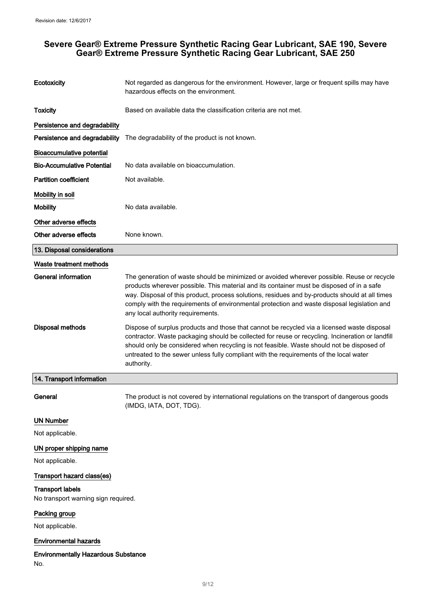No.

| Ecotoxicity                                | Not regarded as dangerous for the environment. However, large or frequent spills may have<br>hazardous effects on the environment.                                                                                                                                                                                                                                                                                            |
|--------------------------------------------|-------------------------------------------------------------------------------------------------------------------------------------------------------------------------------------------------------------------------------------------------------------------------------------------------------------------------------------------------------------------------------------------------------------------------------|
| <b>Toxicity</b>                            | Based on available data the classification criteria are not met.                                                                                                                                                                                                                                                                                                                                                              |
| Persistence and degradability              |                                                                                                                                                                                                                                                                                                                                                                                                                               |
| Persistence and degradability              | The degradability of the product is not known.                                                                                                                                                                                                                                                                                                                                                                                |
| <b>Bioaccumulative potential</b>           |                                                                                                                                                                                                                                                                                                                                                                                                                               |
| <b>Bio-Accumulative Potential</b>          | No data available on bioaccumulation.                                                                                                                                                                                                                                                                                                                                                                                         |
| <b>Partition coefficient</b>               | Not available.                                                                                                                                                                                                                                                                                                                                                                                                                |
| Mobility in soil                           |                                                                                                                                                                                                                                                                                                                                                                                                                               |
| <b>Mobility</b>                            | No data available.                                                                                                                                                                                                                                                                                                                                                                                                            |
| Other adverse effects                      |                                                                                                                                                                                                                                                                                                                                                                                                                               |
| Other adverse effects                      | None known.                                                                                                                                                                                                                                                                                                                                                                                                                   |
| 13. Disposal considerations                |                                                                                                                                                                                                                                                                                                                                                                                                                               |
| Waste treatment methods                    |                                                                                                                                                                                                                                                                                                                                                                                                                               |
| <b>General information</b>                 | The generation of waste should be minimized or avoided wherever possible. Reuse or recycle<br>products wherever possible. This material and its container must be disposed of in a safe<br>way. Disposal of this product, process solutions, residues and by-products should at all times<br>comply with the requirements of environmental protection and waste disposal legislation and<br>any local authority requirements. |
| <b>Disposal methods</b>                    | Dispose of surplus products and those that cannot be recycled via a licensed waste disposal<br>contractor. Waste packaging should be collected for reuse or recycling. Incineration or landfill<br>should only be considered when recycling is not feasible. Waste should not be disposed of<br>untreated to the sewer unless fully compliant with the requirements of the local water<br>authority.                          |
| 14. Transport information                  |                                                                                                                                                                                                                                                                                                                                                                                                                               |
| General                                    | The product is not covered by international regulations on the transport of dangerous goods<br>(IMDG, IATA, DOT, TDG).                                                                                                                                                                                                                                                                                                        |
| <b>UN Number</b>                           |                                                                                                                                                                                                                                                                                                                                                                                                                               |
| Not applicable.                            |                                                                                                                                                                                                                                                                                                                                                                                                                               |
| UN proper shipping name                    |                                                                                                                                                                                                                                                                                                                                                                                                                               |
| Not applicable.                            |                                                                                                                                                                                                                                                                                                                                                                                                                               |
| Transport hazard class(es)                 |                                                                                                                                                                                                                                                                                                                                                                                                                               |
| <b>Transport labels</b>                    |                                                                                                                                                                                                                                                                                                                                                                                                                               |
| No transport warning sign required.        |                                                                                                                                                                                                                                                                                                                                                                                                                               |
| Packing group                              |                                                                                                                                                                                                                                                                                                                                                                                                                               |
| Not applicable.                            |                                                                                                                                                                                                                                                                                                                                                                                                                               |
| <b>Environmental hazards</b>               |                                                                                                                                                                                                                                                                                                                                                                                                                               |
| <b>Environmentally Hazardous Substance</b> |                                                                                                                                                                                                                                                                                                                                                                                                                               |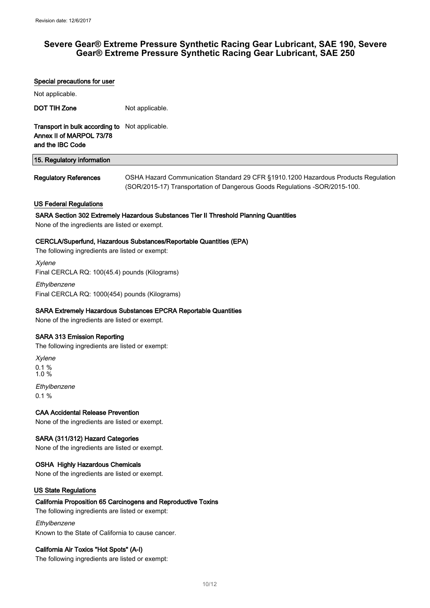# Special precautions for user Not applicable. DOT TIH Zone Not applicable. Transport in bulk according to Not applicable. Annex II of MARPOL 73/78 and the IBC Code 15. Regulatory information Regulatory References **OSHA Hazard Communication Standard 29 CFR §1910.1200 Hazardous Products Regulation** (SOR/2015-17) Transportation of Dangerous Goods Regulations -SOR/2015-100. US Federal Regulations SARA Section 302 Extremely Hazardous Substances Tier II Threshold Planning Quantities None of the ingredients are listed or exempt. CERCLA/Superfund, Hazardous Substances/Reportable Quantities (EPA) The following ingredients are listed or exempt: Xylene Final CERCLA RQ: 100(45.4) pounds (Kilograms) Ethylbenzene Final CERCLA RQ: 1000(454) pounds (Kilograms) SARA Extremely Hazardous Substances EPCRA Reportable Quantities None of the ingredients are listed or exempt. SARA 313 Emission Reporting The following ingredients are listed or exempt: Xylene 0.1 % 1.0 % Ethylbenzene  $0.1 \%$ CAA Accidental Release Prevention None of the ingredients are listed or exempt. SARA (311/312) Hazard Categories None of the ingredients are listed or exempt. OSHA Highly Hazardous Chemicals None of the ingredients are listed or exempt. US State Regulations California Proposition 65 Carcinogens and Reproductive Toxins The following ingredients are listed or exempt: Ethylbenzene

Known to the State of California to cause cancer.

#### California Air Toxics "Hot Spots" (A-I)

The following ingredients are listed or exempt: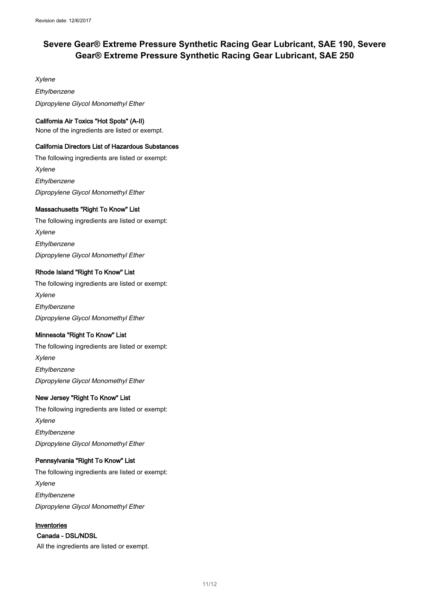Xylene Ethylbenzene Dipropylene Glycol Monomethyl Ether

#### California Air Toxics "Hot Spots" (A-II)

None of the ingredients are listed or exempt.

#### California Directors List of Hazardous Substances

The following ingredients are listed or exempt: Xylene **Ethylbenzene** Dipropylene Glycol Monomethyl Ether

# Massachusetts "Right To Know" List

The following ingredients are listed or exempt: Xylene **Ethylbenzene** Dipropylene Glycol Monomethyl Ether

## Rhode Island "Right To Know" List

The following ingredients are listed or exempt: Xylene **Ethylbenzene** Dipropylene Glycol Monomethyl Ether

#### Minnesota "Right To Know" List

The following ingredients are listed or exempt: Xylene Ethylbenzene Dipropylene Glycol Monomethyl Ether

#### New Jersey "Right To Know" List

The following ingredients are listed or exempt: Xylene Ethylbenzene Dipropylene Glycol Monomethyl Ether

#### Pennsylvania "Right To Know" List

The following ingredients are listed or exempt: Xylene Ethylbenzene Dipropylene Glycol Monomethyl Ether

## Inventories

# Canada - DSL/NDSL

All the ingredients are listed or exempt.